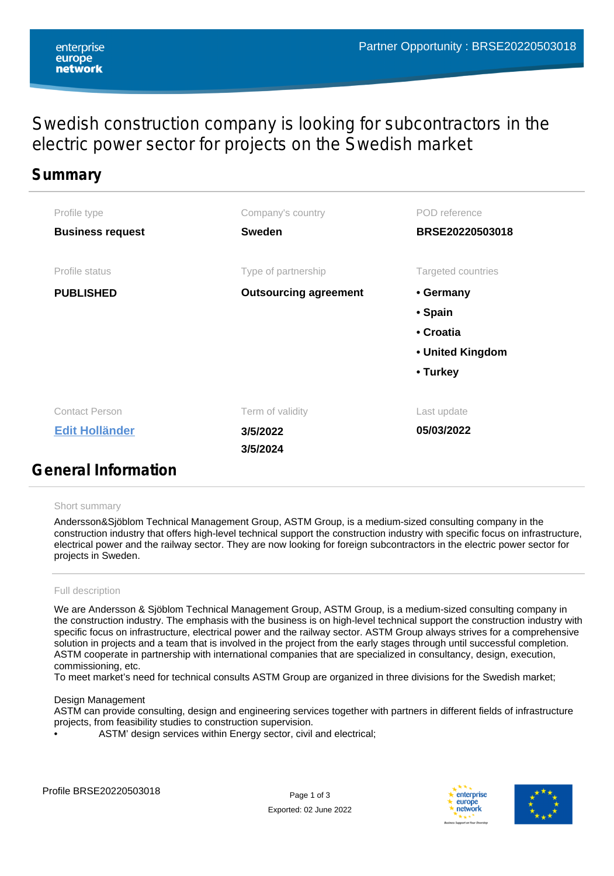# Swedish construction company is looking for subcontractors in the electric power sector for projects on the Swedish market

## **Summary**

| Profile type               | Company's country            | POD reference      |
|----------------------------|------------------------------|--------------------|
| <b>Business request</b>    | <b>Sweden</b>                | BRSE20220503018    |
|                            |                              |                    |
| Profile status             | Type of partnership          | Targeted countries |
| <b>PUBLISHED</b>           | <b>Outsourcing agreement</b> | • Germany          |
|                            |                              | • Spain            |
|                            |                              | • Croatia          |
|                            |                              | • United Kingdom   |
|                            |                              | • Turkey           |
|                            |                              |                    |
| <b>Contact Person</b>      | Term of validity             | Last update        |
| <b>Edit Holländer</b>      | 3/5/2022                     | 05/03/2022         |
|                            | 3/5/2024                     |                    |
| <b>General Information</b> |                              |                    |

## Short summary

Andersson&Sjöblom Technical Management Group, ASTM Group, is a medium-sized consulting company in the construction industry that offers high-level technical support the construction industry with specific focus on infrastructure, electrical power and the railway sector. They are now looking for foreign subcontractors in the electric power sector for projects in Sweden.

## Full description

We are Andersson & Sjöblom Technical Management Group, ASTM Group, is a medium-sized consulting company in the construction industry. The emphasis with the business is on high-level technical support the construction industry with specific focus on infrastructure, electrical power and the railway sector. ASTM Group always strives for a comprehensive solution in projects and a team that is involved in the project from the early stages through until successful completion. ASTM cooperate in partnership with international companies that are specialized in consultancy, design, execution, commissioning, etc.

To meet market's need for technical consults ASTM Group are organized in three divisions for the Swedish market;

#### Design Management

ASTM can provide consulting, design and engineering services together with partners in different fields of infrastructure projects, from feasibility studies to construction supervision.

ASTM' design services within Energy sector, civil and electrical;

Exported: 02 June 2022



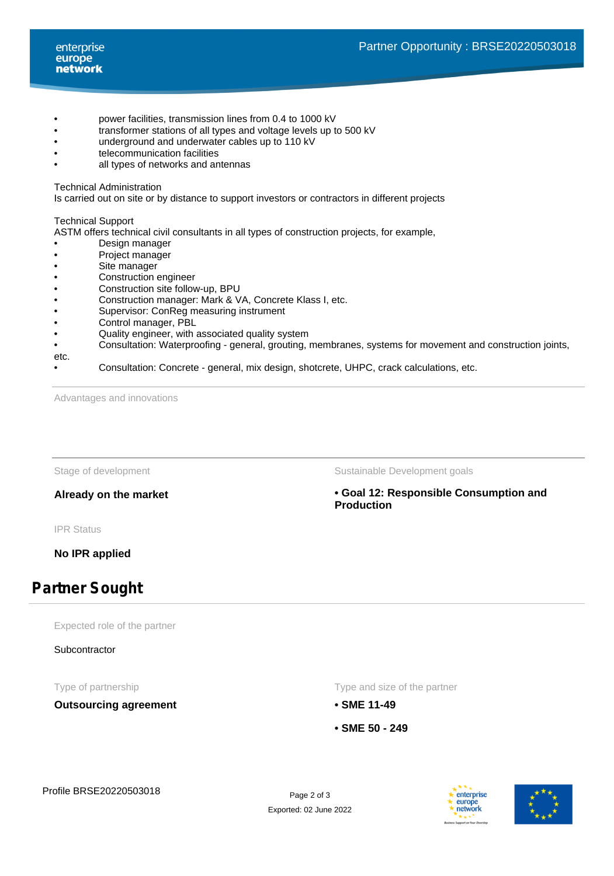- power facilities, transmission lines from 0.4 to 1000 kV
- transformer stations of all types and voltage levels up to 500 kV
- underground and underwater cables up to 110 kV
- telecommunication facilities
- all types of networks and antennas

Technical Administration

Is carried out on site or by distance to support investors or contractors in different projects

## Technical Support

ASTM offers technical civil consultants in all types of construction projects, for example,

- Design manager
- Project manager
- Site manager
- Construction engineer<br>• Construction site follov
- Construction site follow-up, BPU<br>• Construction manager: Mark & V
- Construction manager: Mark & VA, Concrete Klass I, etc.<br>• Supervisor: ConReg measuring instrument
- Supervisor: ConReg measuring instrument<br>• Control manager. PBL
- Control manager, PBL
- Quality engineer, with associated quality system
- Consultation: Waterproofing general, grouting, membranes, systems for movement and construction joints,
- etc.
- Consultation: Concrete general, mix design, shotcrete, UHPC, crack calculations, etc.

Advantages and innovations

IPR Status

**No IPR applied**

## **Partner Sought**

Expected role of the partner

**Subcontractor** 

**Outsourcing agreement • SME 11-49**

Stage of development The Sustainable Development goals

**Already on the market • Goal 12: Responsible Consumption and Production**

Type of partnership Type and size of the partnership Type and size of the partner

- 
- **SME 50 249**

Exported: 02 June 2022